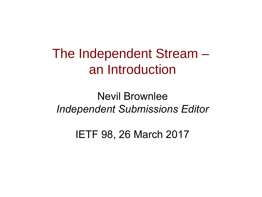The Independent Stream – an Introduction

Nevil Brownlee *Independent Submissions Editor*

IETF 98, 26 March 2017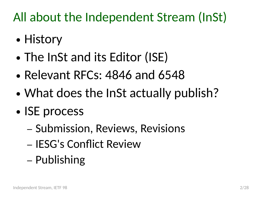#### All about the Independent Stream (InSt)

- History
- The InSt and its Editor (ISE)
- Relevant RFCs:  $4846$  and  $6548$
- What does the InSt actually publish?
- ISE process
	- Submission, Reviews, Revisions
	- IESG's Conflict Review
	- Publishing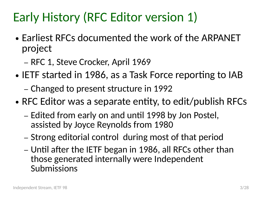#### Early History (RFC Editor version 1)

- Earliest RFCs documented the work of the ARPANET project
	- RFC 1, Steve Crocker, April 1969
- IETF started in 1986, as a Task Force reporting to IAB
	- Changed to present structure in 1992
- RFC Editor was a separate entity, to edit/publish RFCs
	- Edited from early on and until 1998 by Jon Postel, assisted by Joyce Reynolds from 1980
	- Strong editorial control during most of that period
	- Until after the IETF began in 1986, all RFCs other than those generated internally were Independent Submissions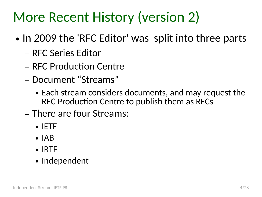### More Recent History (version 2)

- In 2009 the 'RFC Editor' was split into three parts
	- RFC Series Editor
	- RFC Production Centre
	- Document "Streams"
		- Each stream considers documents, and may request the RFC Production Centre to publish them as RFCs
	- There are four Streams:
		- IETF
		- $\bullet$  IAB
		- IRTF
		- Independent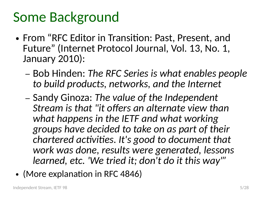#### Some Background

- From "RFC Editor in Transition: Past, Present, and Future" (Internet Protocol Journal, Vol. 13, No. 1, January 2010):
	- Bob Hinden: *The RFC Series is what enables people to build products, networks, and the Internet*
	- Sandy Ginoza: *The value of the Independent Stream is that "it offers an alternate view than what happens in the IETF and what working groups have decided to take on as part of their chartered activities. It's good to document that work was done, results were generated, lessons learned, etc. 'We tried it; don't do it this way'"*
- (More explanation in RFC 4846)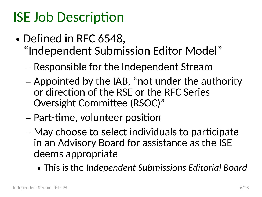# ISE Job Description

- Defined in RFC 6548, "Independent Submission Editor Model"
	- Responsible for the Independent Stream
	- Appointed by the IAB, "not under the authority or direction of the RSE or the RFC Series Oversight Committee (RSOC)"
	- Part-time, volunteer position
	- May choose to select individuals to participate in an Advisory Board for assistance as the ISE deems appropriate
		- This is the *Independent Submissions Editorial Board*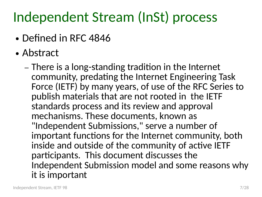# Independent Stream (InSt) process

- Defined in RFC 4846
- Abstract

– There is a long-standing tradition in the Internet community, predating the Internet Engineering Task Force (IETF) by many years, of use of the RFC Series to publish materials that are not rooted in the IETF standards process and its review and approval mechanisms. These documents, known as "Independent Submissions," serve a number of important functions for the Internet community, both inside and outside of the community of active IETF participants. This document discusses the Independent Submission model and some reasons why it is important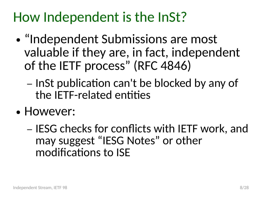### How Independent is the InSt?

- $\bullet$ "Independent Submissions are most valuable if they are, in fact, independent of the IETF process" (RFC 4846)
	- InSt publication can't be blocked by any of the IETF-related entities
- However:
	- IESG checks for conflicts with IETF work, and may suggest "IESG Notes" or other modifications to ISE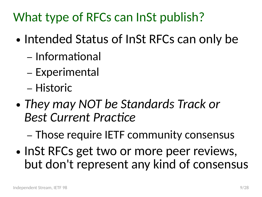What type of RFCs can InSt publish?

- Intended Status of InSt RFCs can only be
	- Informational
	- Experimental
	- Historic
- *They may NOT be Standards Track or Best Current Practice*

– Those require IETF community consensus

• InSt RFCs get two or more peer reviews, but don't represent any kind of consensus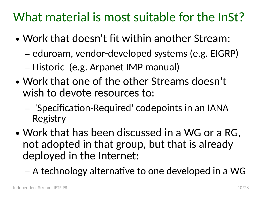#### What material is most suitable for the InSt?

- Work that doesn't fit within another Stream:
	- eduroam, vendor-developed systems (e.g. EIGRP)
	- Historic (e.g. Arpanet IMP manual)
- Work that one of the other Streams doesn't wish to devote resources to:
	- 'Specification-Required' codepoints in an IANA Registry
- Work that has been discussed in a WG or a RG, not adopted in that group, but that is already deployed in the Internet:
	- A technology alternative to one developed in a WG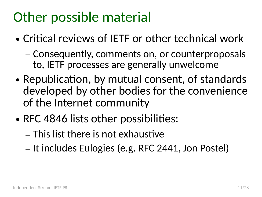## Other possible material

- Critical reviews of IFTF or other technical work
	- Consequently, comments on, or counterproposals to, IETF processes are generally unwelcome
- Republication, by mutual consent, of standards developed by other bodies for the convenience of the Internet community
- RFC 4846 lists other possibilities:
	- This list there is not exhaustive
	- It includes Eulogies (e.g. RFC 2441, Jon Postel)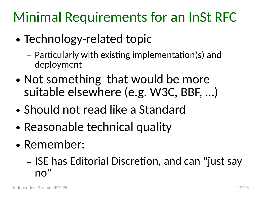Minimal Requirements for an InSt RFC

- Technology-related topic
	- Particularly with existing implementation(s) and deployment
- Not something that would be more suitable elsewhere (e.g. W3C, BBF, …)
- Should not read like a Standard
- Reasonable technical quality
- Remember:

– ISE has Editorial Discretion, and can "just say no"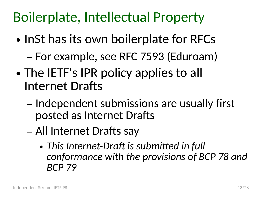# Boilerplate, Intellectual Property

- InSt has its own boilerplate for RFCs
	- For example, see RFC 7593 (Eduroam)
- The IETF's IPR policy applies to all Internet Drafts
	- Independent submissions are usually first posted as Internet Drafts
	- All Internet Drafts say
		- *This Internet-Draft is submitted in full conformance with the provisions of BCP 78 and BCP 79*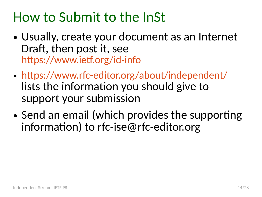### How to Submit to the InSt

- Usually, create your document as an Internet Draft, then post it, see <https://www.ietf.org/id-info>
- <https://www.rfc-editor.org/about/independent/> lists the information you should give to support your submission
- Send an email (which provides the supporting information) to rfc-ise@rfc-editor.org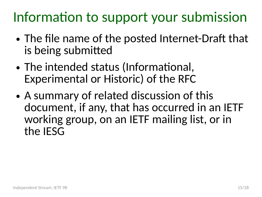# Information to support your submission

- The file name of the posted Internet-Draft that is being submitted
- The intended status (Informational, Experimental or Historic) of the RFC
- A summary of related discussion of this document, if any, that has occurred in an IETF working group, on an IETF mailing list, or in the IESG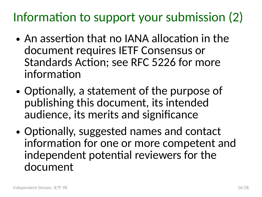Information to support your submission (2)

- An assertion that no IANA allocation in the document requires IETF Consensus or Standards Action; see RFC 5226 for more information
- Optionally, a statement of the purpose of publishing this document, its intended audience, its merits and significance
- Optionally, suggested names and contact information for one or more competent and independent potential reviewers for the document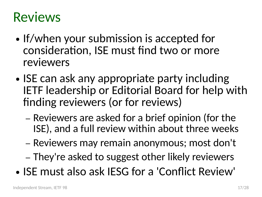### Reviews

- If/when your submission is accepted for consideration, ISE must find two or more reviewers
- ISE can ask any appropriate party including IETF leadership or Editorial Board for help with finding reviewers (or for reviews)
	- Reviewers are asked for a brief opinion (for the ISE), and a full review within about three weeks
	- Reviewers may remain anonymous; most don't
	- They're asked to suggest other likely reviewers
- ISE must also ask IESG for a 'Conflict Review'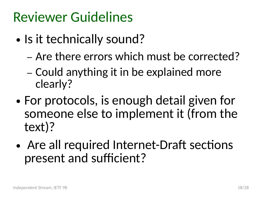### Reviewer Guidelines

- Is it technically sound?
	- Are there errors which must be corrected?
	- Could anything it in be explained more clearly?
- For protocols, is enough detail given for someone else to implement it (from the text)?
- Are all required Internet-Draft sections present and sufficient?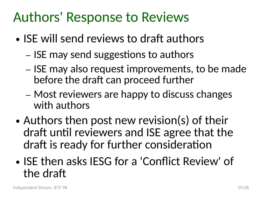#### Authors' Response to Reviews

- ISE will send reviews to draft authors
	- ISE may send suggestions to authors
	- ISE may also request improvements, to be made before the draft can proceed further
	- Most reviewers are happy to discuss changes with authors
- Authors then post new revision(s) of their draft until reviewers and ISE agree that the draft is ready for further consideration
- ISE then asks IESG for a 'Conflict Review' of the draft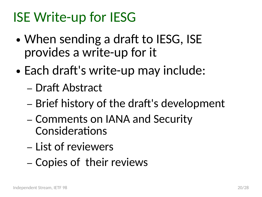# ISE Write-up for IESG

- When sending a draft to IESG, ISE provides a write-up for it
- Each draft's write-up may include:
	- Draft Abstract
	- Brief history of the draft's development
	- Comments on IANA and Security **Considerations**
	- List of reviewers
	- Copies of their reviews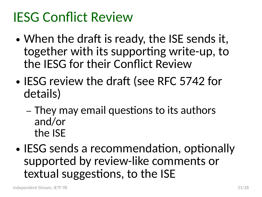### IESG Conflict Review

- When the draft is ready, the ISE sends it, together with its supporting write-up, to the IESG for their Conflict Review
- IESG review the draft (see RFC 5742 for details)
	- They may email questions to its authors and/or the ISE
- IESG sends a recommendation, optionally supported by review-like comments or textual suggestions, to the ISE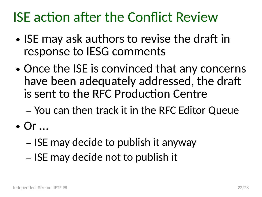### ISE action after the Conflict Review

- ISE may ask authors to revise the draft in response to IESG comments
- Once the ISE is convinced that any concerns have been adequately addressed, the draft is sent to the RFC Production Centre
	- You can then track it in the RFC Editor Queue
- $\bullet$  Or  $\ldots$ 
	- ISE may decide to publish it anyway
	- ISE may decide not to publish it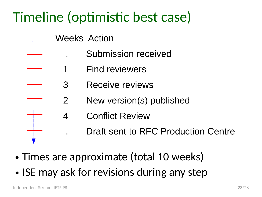# Timeline (optimistic best case)

- Weeks Action
	- . Submission received
	- 1 Find reviewers
	- 3 Receive reviews
	- 2 New version(s) published
	- 4 Conflict Review
		- . Draft sent to RFC Production Centre
- Times are approximate (total 10 weeks)
- ISE may ask for revisions during any step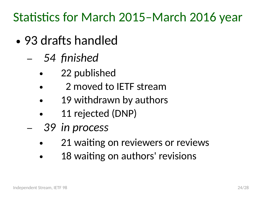Statistics for March 2015–March 2016 year

- 93 drafts handled
	- *54 finished*
		- 22 published
		- 2 moved to IETF stream
		- 19 withdrawn by authors
		- 11 rejected (DNP)
	- *39 in process*
		- 21 waiting on reviewers or reviews
		- 18 waiting on authors' revisions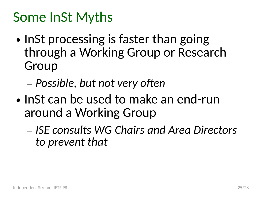### Some InSt Myths

- InSt processing is faster than going through a Working Group or Research Group
	- *Possible, but not very often*
- InSt can be used to make an end-run around a Working Group
	- *ISE consults WG Chairs and Area Directors to prevent that*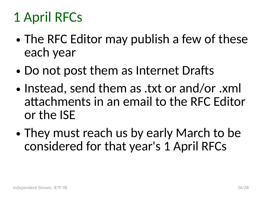# 1 April RFCs

- The RFC Editor may publish a few of these each year
- Do not post them as Internet Drafts
- Instead, send them as .txt or and/or .xml attachments in an email to the RFC Editor or the ISE
- They must reach us by early March to be considered for that year's 1 April RFCs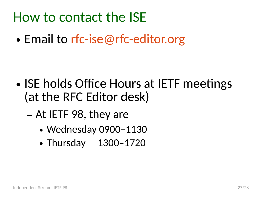#### How to contact the ISE

• Email to [rfc-ise@rfc-editor.org](mailto:rfc-ise@rfc-editor.org)

- ISE holds Office Hours at IETF meetings (at the RFC Editor desk)
	- At IETF 98, they are
		- Wednesday 0900-1130
		- Thursday 1300-1720